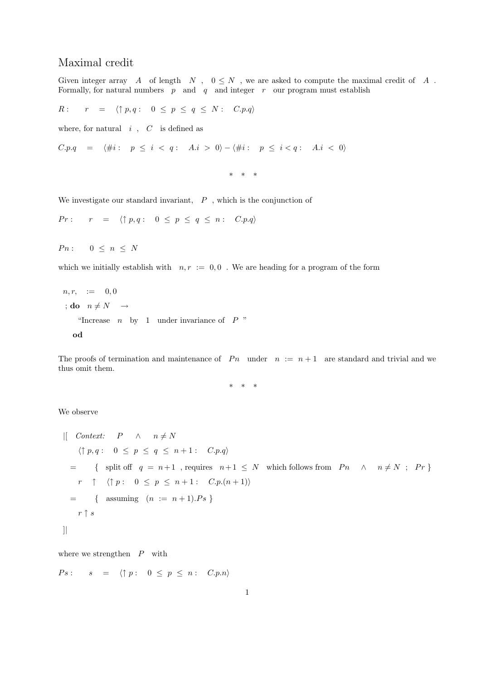## Maximal credit

Given integer array A of length N,  $0 \leq N$ , we are asked to compute the maximal credit of A. Formally, for natural numbers  $p$  and  $q$  and integer  $r$  our program must establish

$$
R: \quad r = \langle \uparrow p, q: \quad 0 \leq p \leq q \leq N: \quad C.p.q \rangle
$$

where, for natural  $i$ ,  $C$  is defined as

$$
C.p.q \quad = \quad \langle \#i : \quad p \leq i < q: \quad A.i > 0 \rangle - \langle \#i : \quad p \leq i < q: \quad A.i < 0 \rangle
$$

\* \* \*

We investigate our standard invariant,  $P$ , which is the conjunction of

 $Pr: \quad r = \langle \uparrow p, q : 0 \leq p \leq q \leq n : C.p.q \rangle$ 

 $P n: \quad 0 \leq n \leq N$ 

which we initially establish with  $n, r := 0, 0$ . We are heading for a program of the form

$$
n, r, := 0, 0
$$
  
 
$$
;\text{do } n \neq N \rightarrow
$$
  
 "Increase *n* by 1 under invariance of *P* "  
 **od**

The proofs of termination and maintenance of  $P_n$  under  $n := n + 1$  are standard and trivial and we thus omit them.

\* \* \*

We observe

$$
\begin{array}{llll}\n\text{[} & \text{Context:} & P & \wedge & n \neq N \\
& \langle \uparrow p, q : 0 \leq p \leq q \leq n+1 : C.p.q \rangle \\
& = & \{ \text{ split off } q = n+1 \text{ , requires } n+1 \leq N \text{ which follows from } P n \quad \wedge \quad n \neq N \text{ ; } Pr \} \\
& r \quad \uparrow \quad \langle \uparrow p : 0 \leq p \leq n+1 : C.p.(n+1) \rangle \\
& = & \{ \text{ assuming } (n := n+1).Ps \} \\
& r \uparrow s\n\end{array}
$$

where we strengthen  $P$  with

$$
Ps: \qquad s \quad = \quad \langle \uparrow p: \quad 0 \leq p \leq n: \quad C.p.n \rangle
$$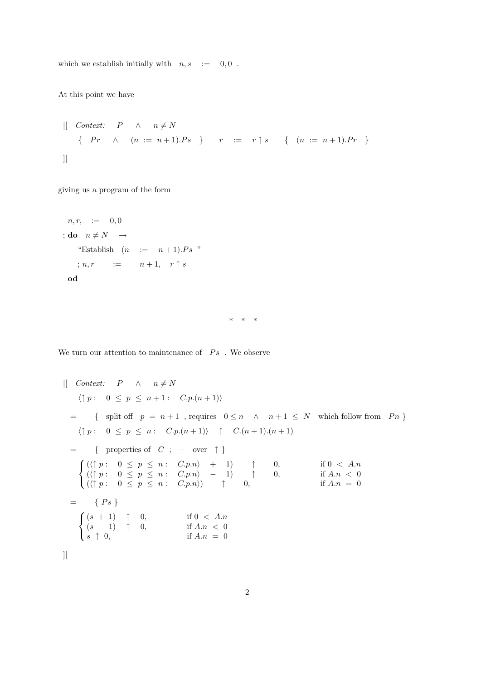which we establish initially with  $n, s$  := 0,0.

At this point we have

$$
\begin{array}{cccc}\n\text{[} & \text{Context:} & P & \wedge & n \neq N \\
\text{ { } P r & \wedge & (n := n + 1).Ps \end{array} \quad r \quad := \quad r \uparrow s \quad \{ \quad (n := n + 1).Pr \}
$$

giving us a program of the form

$$
n, r, := 0, 0
$$
  
\n
$$
;\text{do } n \neq N \rightarrow
$$
  
\n" Establish  $(n := n+1).Ps$ "  
\n
$$
; n, r := n+1, r \uparrow s
$$
  
\n
$$
\text{od}
$$

\* \* \*

We turn our attention to maintenance of  $Ps$  . We observe

$$
\left|\left[\begin{array}{ccccc}\n\text{Context:} & P & \wedge & n \neq N \\
\langle \uparrow p : & 0 \leq p \leq n+1 : & C.p.(n+1)\rangle\end{array}\right|\right|
$$
\n
$$
= \left\{\text{ split of } p = n+1, \text{ requires } 0 \leq n \wedge & n+1 \leq N \text{ which follow from } P_n \right\}
$$
\n
$$
\left\{\uparrow p : 0 \leq p \leq n : C.p.(n+1)) \uparrow C.(n+1).(n+1)\right\}
$$
\n
$$
= \left\{\text{ properties of } C \text{ ; + over }\uparrow\right\}
$$
\n
$$
\left\{\begin{array}{ccccc}\n\langle \uparrow p : & 0 \leq p \leq n : C.p.n \rangle + 1) & \uparrow & 0, & \text{if } 0 < A.n \\
\langle \uparrow p : & 0 \leq p \leq n : C.p.n \rangle - 1) & \uparrow & 0, & \text{if } A.n < 0 \\
\langle \uparrow p : & 0 \leq p \leq n : C.p.n \rangle & \uparrow & 0, & \text{if } A.n = 0\n\end{array}\right|
$$
\n
$$
= \left\{P_s\right\}
$$
\n
$$
\left\{\begin{array}{ccccc}\n\langle s+1) & \uparrow & 0, & \text{if } 0 < A.n \\
\langle s-1) & \uparrow & 0, & \text{if } A.n < 0 \\
s \uparrow & 0, & \text{if } A.n = 0\n\end{array}\right|
$$